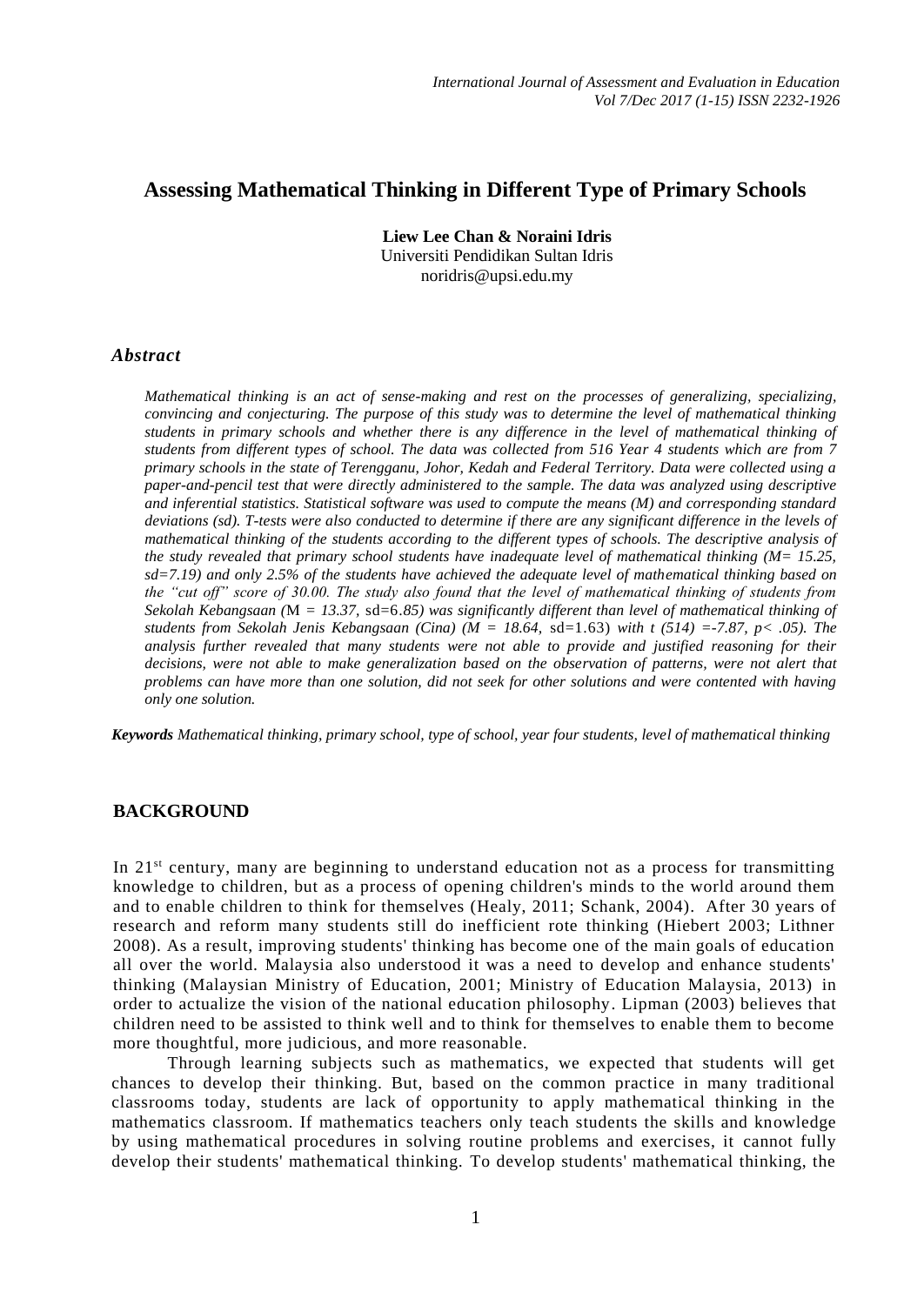# **Assessing Mathematical Thinking in Different Type of Primary Schools**

**Liew Lee Chan & Noraini Idris** Universiti Pendidikan Sultan Idris noridris@upsi.edu.my

#### *Abstract*

*Mathematical thinking is an act of sense-making and rest on the processes of generalizing, specializing, convincing and conjecturing. The purpose of this study was to determine the level of mathematical thinking students in primary schools and whether there is any difference in the level of mathematical thinking of students from different types of school. The data was collected from 516 Year 4 students which are from 7 primary schools in the state of Terengganu, Johor, Kedah and Federal Territory. Data were collected using a paper-and-pencil test that were directly administered to the sample. The data was analyzed using descriptive and inferential statistics. Statistical software was used to compute the means (M) and corresponding standard deviations (sd). T-tests were also conducted to determine if there are any significant difference in the levels of mathematical thinking of the students according to the different types of schools. The descriptive analysis of the study revealed that primary school students have inadequate level of mathematical thinking (M= 15.25, sd=7.19) and only 2.5% of the students have achieved the adequate level of mathematical thinking based on the "cut off" score of 30.00. The study also found that the level of mathematical thinking of students from Sekolah Kebangsaan (*M *= 13.37,* sd=6.*85) was significantly different than level of mathematical thinking of students from Sekolah Jenis Kebangsaan (Cina) (M = 18.64,* sd=1.63) *with t (514) =-7.87, p< .05). The analysis further revealed that many students were not able to provide and justified reasoning for their decisions, were not able to make generalization based on the observation of patterns, were not alert that problems can have more than one solution, did not seek for other solutions and were contented with having only one solution.* 

*Keywords Mathematical thinking, primary school, type of school, year four students, level of mathematical thinking*

#### **BACKGROUND**

In 21st century, many are beginning to understand education not as a process for transmitting knowledge to children, but as a process of opening children's minds to the world around them and to enable children to think for themselves (Healy, 2011; Schank, 2004). After 30 years of research and reform many students still do inefficient rote thinking (Hiebert 2003; Lithner 2008). As a result, improving students' thinking has become one of the main goals of education all over the world. Malaysia also understood it was a need to develop and enhance students' thinking (Malaysian Ministry of Education, 2001; Ministry of Education Malaysia, 2013) in order to actualize the vision of the national education philosophy. Lipman (2003) believes that children need to be assisted to think well and to think for themselves to enable them to become more thoughtful, more judicious, and more reasonable.

Through learning subjects such as mathematics, we expected that students will get chances to develop their thinking. But, based on the common practice in many traditional classrooms today, students are lack of opportunity to apply mathematical thinking in the mathematics classroom. If mathematics teachers only teach students the skills and knowledge by using mathematical procedures in solving routine problems and exercises, it cannot fully develop their students' mathematical thinking. To develop students' mathematical thinking, the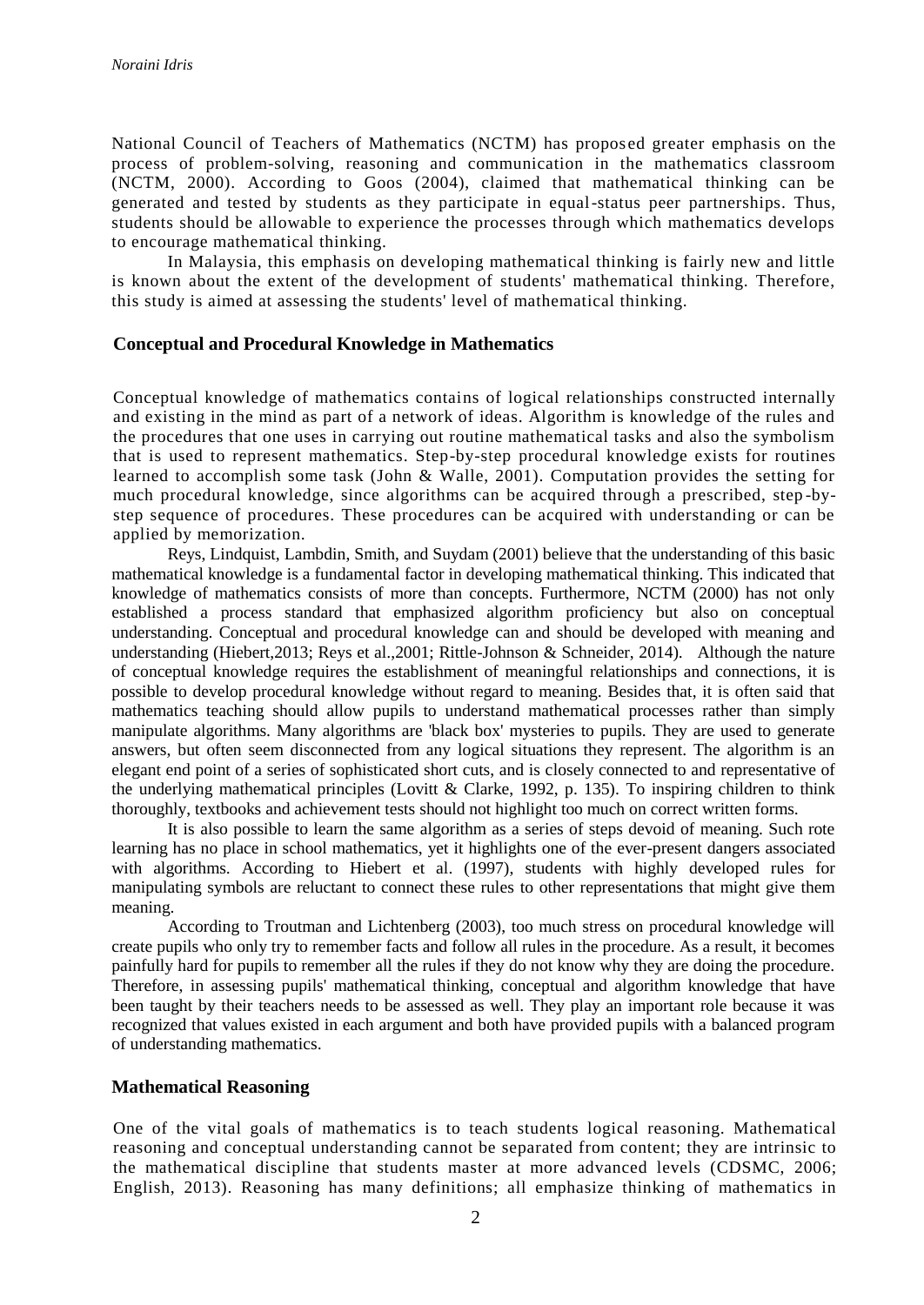National Council of Teachers of Mathematics (NCTM) has propos ed greater emphasis on the process of problem-solving, reasoning and communication in the mathematics classroom (NCTM, 2000). According to Goos (2004), claimed that mathematical thinking can be generated and tested by students as they participate in equal-status peer partnerships. Thus, students should be allowable to experience the processes through which mathematics develops to encourage mathematical thinking.

In Malaysia, this emphasis on developing mathematical thinking is fairly new and little is known about the extent of the development of students' mathematical thinking. Therefore, this study is aimed at assessing the students' level of mathematical thinking.

#### **Conceptual and Procedural Knowledge in Mathematics**

Conceptual knowledge of mathematics contains of logical relationships constructed internally and existing in the mind as part of a network of ideas. Algorithm is knowledge of the rules and the procedures that one uses in carrying out routine mathematical tasks and also the symbolism that is used to represent mathematics. Step-by-step procedural knowledge exists for routines learned to accomplish some task (John & Walle, 2001). Computation provides the setting for much procedural knowledge, since algorithms can be acquired through a prescribed, step -bystep sequence of procedures. These procedures can be acquired with understanding or can be applied by memorization.

Reys, Lindquist, Lambdin, Smith, and Suydam (2001) believe that the understanding of this basic mathematical knowledge is a fundamental factor in developing mathematical thinking. This indicated that knowledge of mathematics consists of more than concepts. Furthermore, NCTM (2000) has not only established a process standard that emphasized algorithm proficiency but also on conceptual understanding. Conceptual and procedural knowledge can and should be developed with meaning and understanding (Hiebert,2013; Reys et al.,2001; Rittle-Johnson & Schneider, 2014). Although the nature of conceptual knowledge requires the establishment of meaningful relationships and connections, it is possible to develop procedural knowledge without regard to meaning. Besides that, it is often said that mathematics teaching should allow pupils to understand mathematical processes rather than simply manipulate algorithms. Many algorithms are 'black box' mysteries to pupils. They are used to generate answers, but often seem disconnected from any logical situations they represent. The algorithm is an elegant end point of a series of sophisticated short cuts, and is closely connected to and representative of the underlying mathematical principles (Lovitt & Clarke, 1992, p. 135). To inspiring children to think thoroughly, textbooks and achievement tests should not highlight too much on correct written forms.

 It is also possible to learn the same algorithm as a series of steps devoid of meaning. Such rote learning has no place in school mathematics, yet it highlights one of the ever-present dangers associated with algorithms. According to Hiebert et al. (1997), students with highly developed rules for manipulating symbols are reluctant to connect these rules to other representations that might give them meaning.

According to Troutman and Lichtenberg (2003), too much stress on procedural knowledge will create pupils who only try to remember facts and follow all rules in the procedure. As a result, it becomes painfully hard for pupils to remember all the rules if they do not know why they are doing the procedure. Therefore, in assessing pupils' mathematical thinking, conceptual and algorithm knowledge that have been taught by their teachers needs to be assessed as well. They play an important role because it was recognized that values existed in each argument and both have provided pupils with a balanced program of understanding mathematics.

#### **Mathematical Reasoning**

One of the vital goals of mathematics is to teach students logical reasoning. Mathematical reasoning and conceptual understanding cannot be separated from content; they are intrinsic to the mathematical discipline that students master at more advanced levels (CDSMC, 2006; English, 2013). Reasoning has many definitions; all emphasize thinking of mathematics in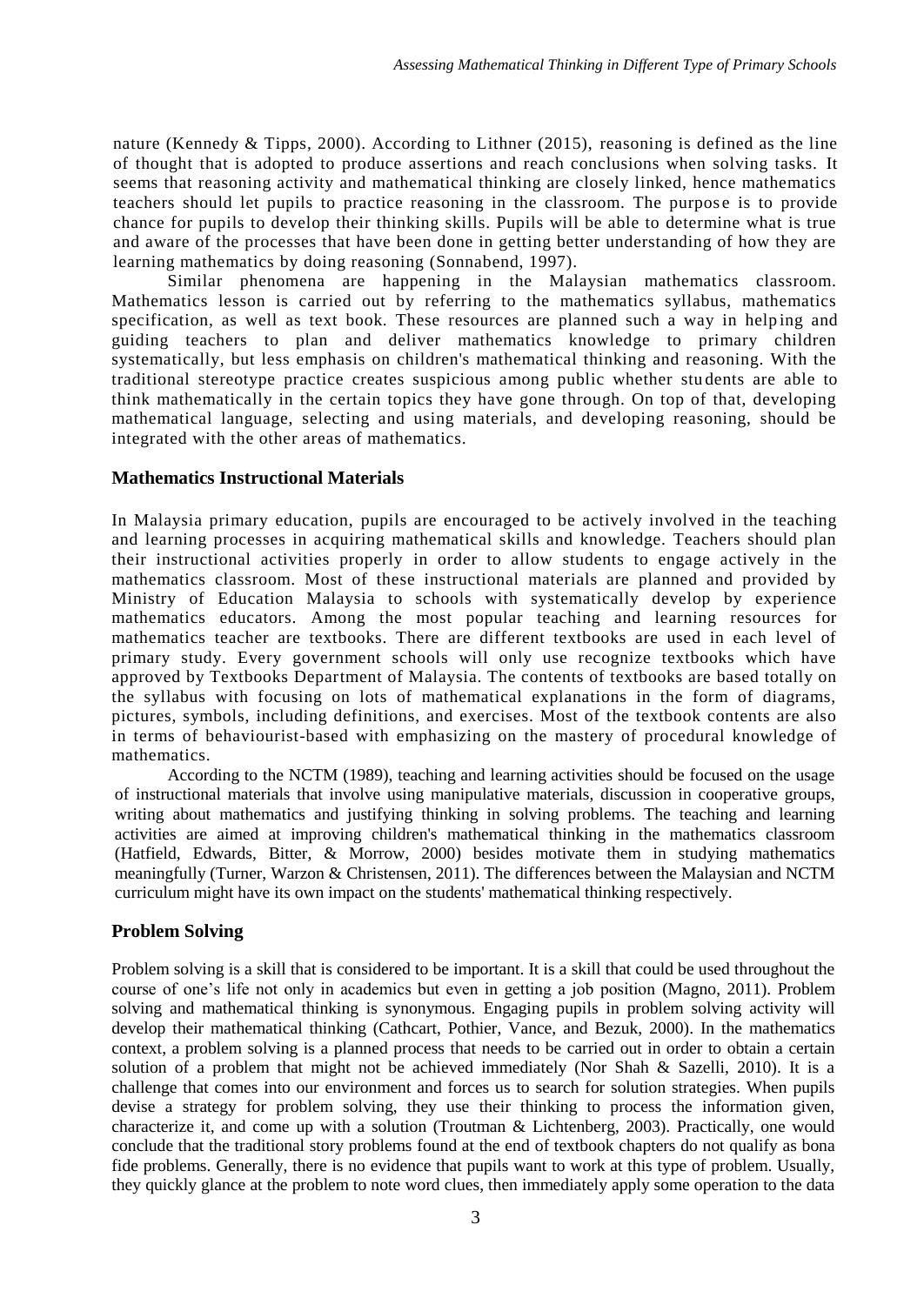nature (Kennedy & Tipps, 2000). According to Lithner (2015), reasoning is defined as the line of thought that is adopted to produce assertions and reach conclusions when solving tasks. It seems that reasoning activity and mathematical thinking are closely linked, hence mathematics teachers should let pupils to practice reasoning in the classroom. The purpose is to provide chance for pupils to develop their thinking skills. Pupils will be able to determine what is true and aware of the processes that have been done in getting better understanding of how they are learning mathematics by doing reasoning (Sonnabend, 1997).

Similar phenomena are happening in the Malaysian mathematics classroom. Mathematics lesson is carried out by referring to the mathematics syllabus, mathematics specification, as well as text book. These resources are planned such a way in helping and guiding teachers to plan and deliver mathematics knowledge to primary children systematically, but less emphasis on children's mathematical thinking and reasoning. With the traditional stereotype practice creates suspicious among public whether stu dents are able to think mathematically in the certain topics they have gone through. On top of that, developing mathematical language, selecting and using materials, and developing reasoning, should be integrated with the other areas of mathematics.

### **Mathematics Instructional Materials**

In Malaysia primary education, pupils are encouraged to be actively involved in the teaching and learning processes in acquiring mathematical skills and knowledge. Teachers should plan their instructional activities properly in order to allow students to engage actively in the mathematics classroom. Most of these instructional materials are planned and provided by Ministry of Education Malaysia to schools with systematically develop by experience mathematics educators. Among the most popular teaching and learning resources for mathematics teacher are textbooks. There are different textbooks are used in each level of primary study. Every government schools will only use recognize textbooks which have approved by Textbooks Department of Malaysia. The contents of textbooks are based totally on the syllabus with focusing on lots of mathematical explanations in the form of diagrams, pictures, symbols, including definitions, and exercises. Most of the textbook contents are also in terms of behaviourist-based with emphasizing on the mastery of procedural knowledge of mathematics.

According to the NCTM (1989), teaching and learning activities should be focused on the usage of instructional materials that involve using manipulative materials, discussion in cooperative groups, writing about mathematics and justifying thinking in solving problems. The teaching and learning activities are aimed at improving children's mathematical thinking in the mathematics classroom (Hatfield, Edwards, Bitter, & Morrow, 2000) besides motivate them in studying mathematics meaningfully (Turner, Warzon & Christensen, 2011). The differences between the Malaysian and NCTM curriculum might have its own impact on the students' mathematical thinking respectively.

# **Problem Solving**

Problem solving is a skill that is considered to be important. It is a skill that could be used throughout the course of one's life not only in academics but even in getting a job position (Magno, 2011). Problem solving and mathematical thinking is synonymous. Engaging pupils in problem solving activity will develop their mathematical thinking (Cathcart, Pothier, Vance, and Bezuk, 2000). In the mathematics context, a problem solving is a planned process that needs to be carried out in order to obtain a certain solution of a problem that might not be achieved immediately (Nor Shah & Sazelli, 2010). It is a challenge that comes into our environment and forces us to search for solution strategies. When pupils devise a strategy for problem solving, they use their thinking to process the information given, characterize it, and come up with a solution (Troutman & Lichtenberg, 2003). Practically, one would conclude that the traditional story problems found at the end of textbook chapters do not qualify as bona fide problems. Generally, there is no evidence that pupils want to work at this type of problem. Usually, they quickly glance at the problem to note word clues, then immediately apply some operation to the data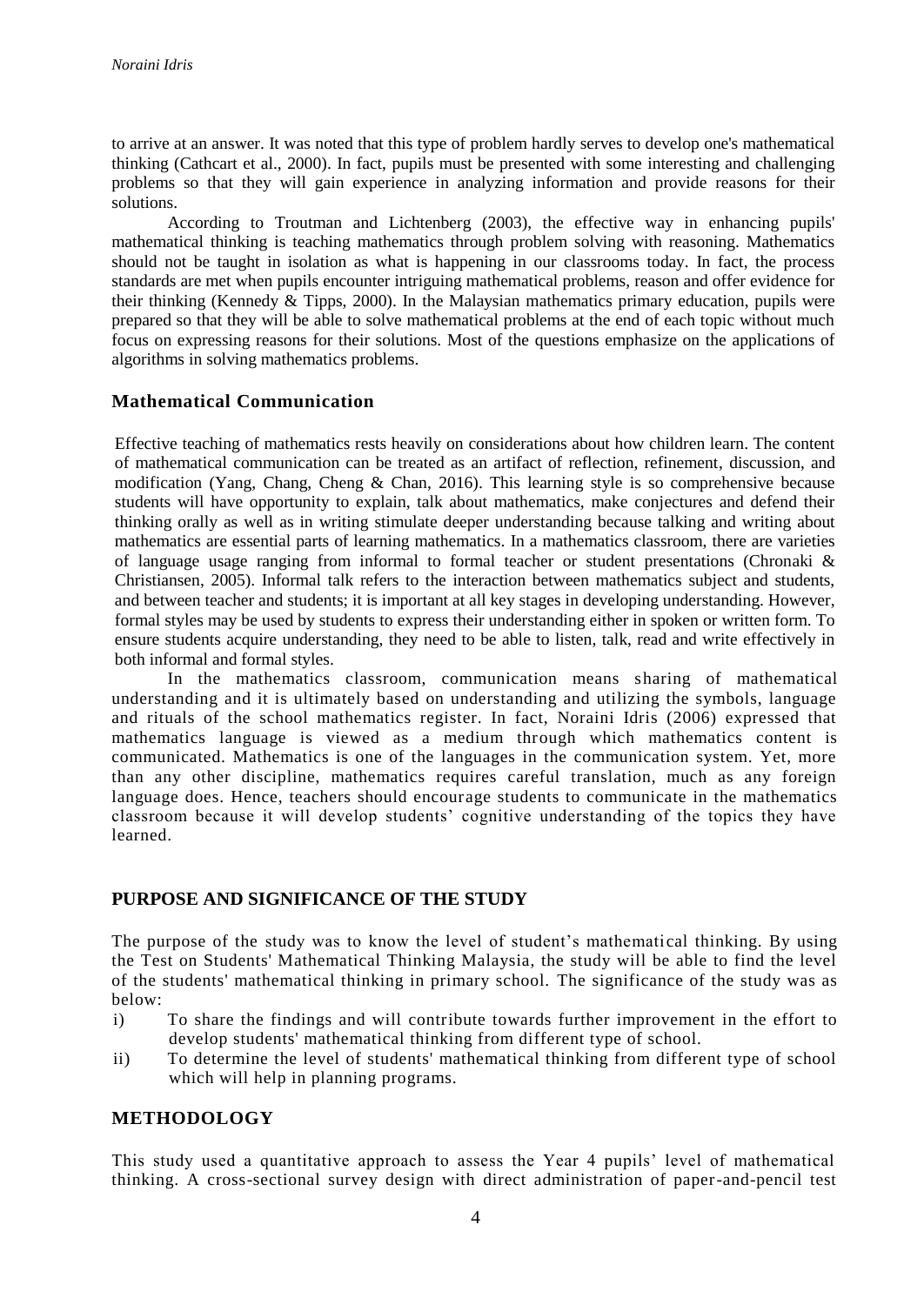to arrive at an answer. It was noted that this type of problem hardly serves to develop one's mathematical thinking (Cathcart et al., 2000). In fact, pupils must be presented with some interesting and challenging problems so that they will gain experience in analyzing information and provide reasons for their solutions.

According to Troutman and Lichtenberg (2003), the effective way in enhancing pupils' mathematical thinking is teaching mathematics through problem solving with reasoning. Mathematics should not be taught in isolation as what is happening in our classrooms today. In fact, the process standards are met when pupils encounter intriguing mathematical problems, reason and offer evidence for their thinking (Kennedy & Tipps, 2000). In the Malaysian mathematics primary education, pupils were prepared so that they will be able to solve mathematical problems at the end of each topic without much focus on expressing reasons for their solutions. Most of the questions emphasize on the applications of algorithms in solving mathematics problems.

### **Mathematical Communication**

Effective teaching of mathematics rests heavily on considerations about how children learn. The content of mathematical communication can be treated as an artifact of reflection, refinement, discussion, and modification (Yang, Chang, Cheng & Chan, 2016). This learning style is so comprehensive because students will have opportunity to explain, talk about mathematics, make conjectures and defend their thinking orally as well as in writing stimulate deeper understanding because talking and writing about mathematics are essential parts of learning mathematics. In a mathematics classroom, there are varieties of language usage ranging from informal to formal teacher or student presentations (Chronaki  $\&$ Christiansen, 2005). Informal talk refers to the interaction between mathematics subject and students, and between teacher and students; it is important at all key stages in developing understanding. However, formal styles may be used by students to express their understanding either in spoken or written form. To ensure students acquire understanding, they need to be able to listen, talk, read and write effectively in both informal and formal styles.

In the mathematics classroom, communication means sharing of mathematical understanding and it is ultimately based on understanding and utilizing the symbols, language and rituals of the school mathematics register. In fact, Noraini Idris (2006) expressed that mathematics language is viewed as a medium through which mathematics content is communicated. Mathematics is one of the languages in the communication system. Yet, more than any other discipline, mathematics requires careful translation, much as any foreign language does. Hence, teachers should encourage students to communicate in the mathematics classroom because it will develop students' cognitive understanding of the topics they have learned.

### **PURPOSE AND SIGNIFICANCE OF THE STUDY**

The purpose of the study was to know the level of student's mathematical thinking. By using the Test on Students' Mathematical Thinking Malaysia, the study will be able to find the level of the students' mathematical thinking in primary school. The significance of the study was as below:

- i) To share the findings and will contribute towards further improvement in the effort to develop students' mathematical thinking from different type of school.
- ii) To determine the level of students' mathematical thinking from different type of school which will help in planning programs.

### **METHODOLOGY**

This study used a quantitative approach to assess the Year 4 pupils' level of mathematical thinking. A cross-sectional survey design with direct administration of paper-and-pencil test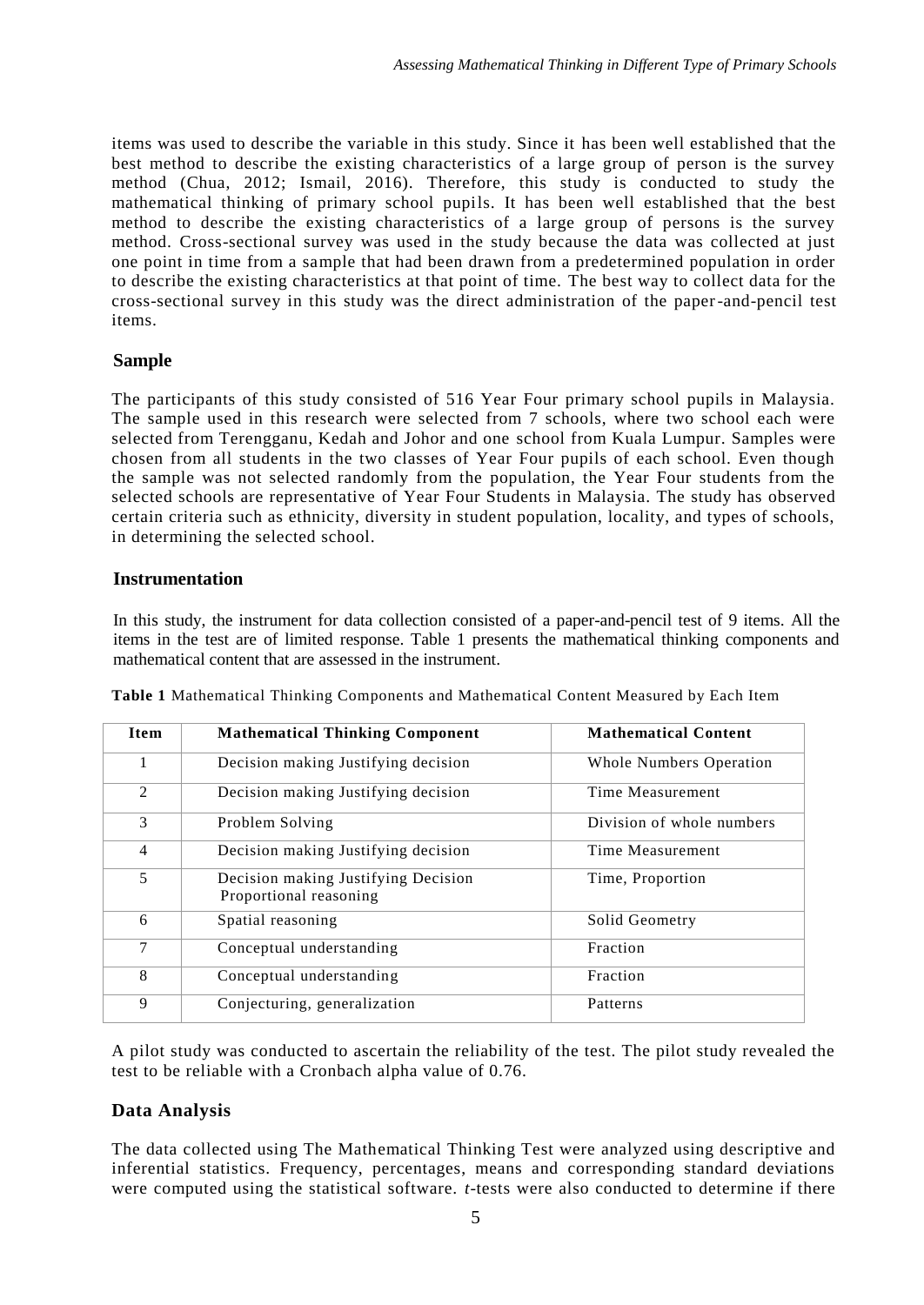items was used to describe the variable in this study. Since it has been well established that the best method to describe the existing characteristics of a large group of person is the survey method (Chua, 2012; Ismail, 2016). Therefore, this study is conducted to study the mathematical thinking of primary school pupils. It has been well established that the best method to describe the existing characteristics of a large group of persons is the survey method. Cross-sectional survey was used in the study because the data was collected at just one point in time from a sample that had been drawn from a predetermined population in order to describe the existing characteristics at that point of time. The best way to collect data for the cross-sectional survey in this study was the direct administration of the paper-and-pencil test items.

### **Sample**

The participants of this study consisted of 516 Year Four primary school pupils in Malaysia. The sample used in this research were selected from 7 schools, where two school each were selected from Terengganu, Kedah and Johor and one school from Kuala Lumpur. Samples were chosen from all students in the two classes of Year Four pupils of each school. Even though the sample was not selected randomly from the population, the Year Four students from the selected schools are representative of Year Four Students in Malaysia. The study has observed certain criteria such as ethnicity, diversity in student population, locality, and types of schools, in determining the selected school.

### **Instrumentation**

In this study, the instrument for data collection consisted of a paper-and-pencil test of 9 items. All the items in the test are of limited response. Table 1 presents the mathematical thinking components and mathematical content that are assessed in the instrument.

| <b>Item</b>    | <b>Mathematical Thinking Component</b>                        | <b>Mathematical Content</b> |
|----------------|---------------------------------------------------------------|-----------------------------|
| 1              | Decision making Justifying decision                           | Whole Numbers Operation     |
| 2              | Decision making Justifying decision                           | Time Measurement            |
| 3              | Problem Solving                                               | Division of whole numbers   |
| $\overline{4}$ | Decision making Justifying decision                           | Time Measurement            |
| 5              | Decision making Justifying Decision<br>Proportional reasoning | Time, Proportion            |
| 6              | Spatial reasoning                                             | Solid Geometry              |
| 7              | Conceptual understanding                                      | Fraction                    |
| 8              | Conceptual understanding                                      | Fraction                    |
| 9              | Conjecturing, generalization                                  | Patterns                    |

**Table 1** Mathematical Thinking Components and Mathematical Content Measured by Each Item

A pilot study was conducted to ascertain the reliability of the test. The pilot study revealed the test to be reliable with a Cronbach alpha value of 0.76.

### **Data Analysis**

The data collected using The Mathematical Thinking Test were analyzed using descriptive and inferential statistics. Frequency, percentages, means and corresponding standard deviations were computed using the statistical software. *t*-tests were also conducted to determine if there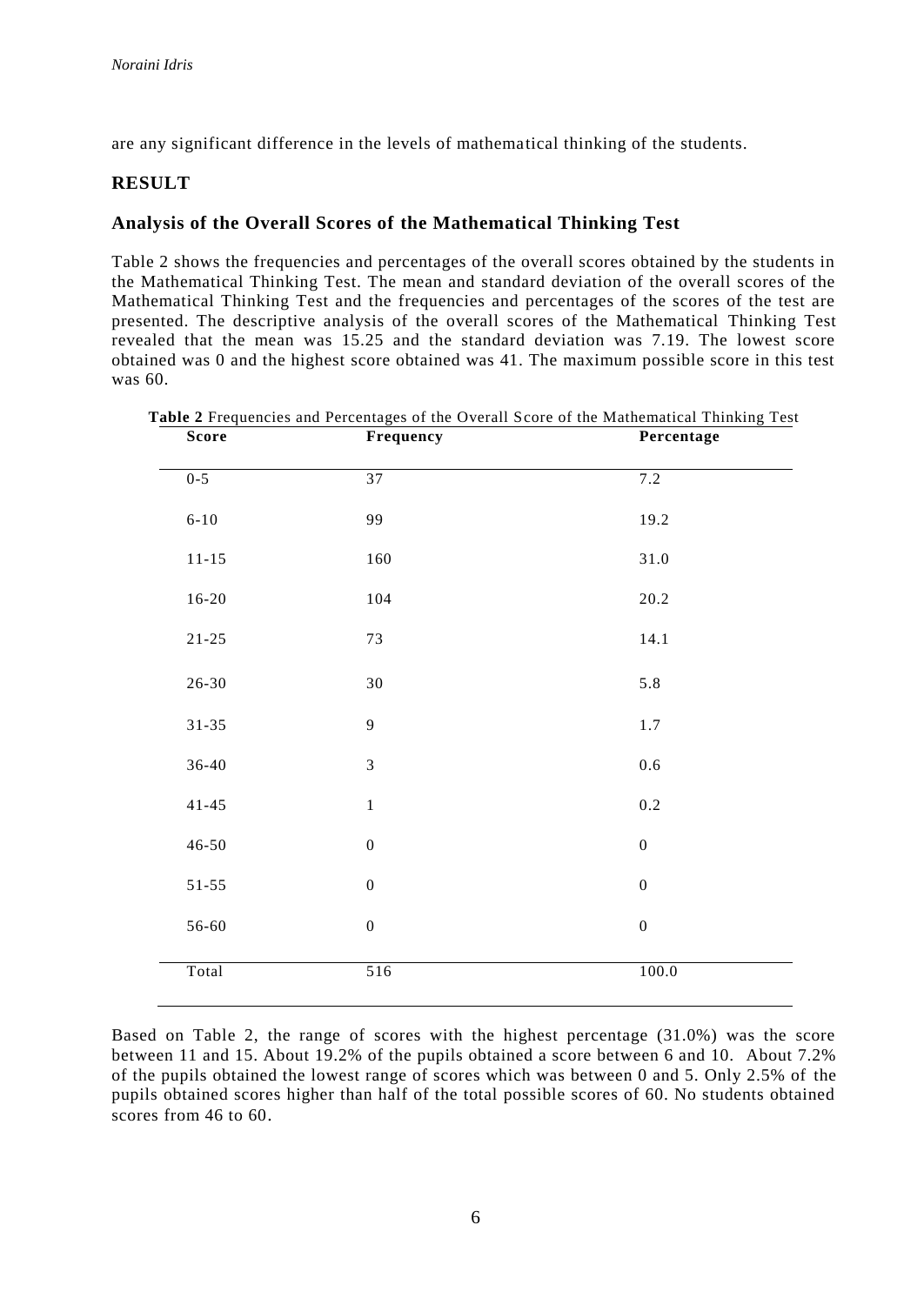are any significant difference in the levels of mathematical thinking of the students.

## **RESULT**

# **Analysis of the Overall Scores of the Mathematical Thinking Test**

Table 2 shows the frequencies and percentages of the overall scores obtained by the students in the Mathematical Thinking Test. The mean and standard deviation of the overall scores of the Mathematical Thinking Test and the frequencies and percentages of the scores of the test are presented. The descriptive analysis of the overall scores of the Mathematical Thinking Test revealed that the mean was 15.25 and the standard deviation was 7.19. The lowest score obtained was 0 and the highest score obtained was 41. The maximum possible score in this test was 60.

| Score     | Frequency        | Percentage       |
|-----------|------------------|------------------|
| $0 - 5$   | 37               | 7.2              |
| $6 - 10$  | 99               | 19.2             |
| $11 - 15$ | 160              | $31.0\,$         |
| $16 - 20$ | 104              | $20.2\,$         |
| $21 - 25$ | 73               | 14.1             |
| $26 - 30$ | $30\,$           | 5.8              |
| $31 - 35$ | 9                | $1.7\,$          |
| $36 - 40$ | $\overline{3}$   | $0.6\,$          |
| $41 - 45$ | $\,1$            | $0.2\,$          |
| $46 - 50$ | $\boldsymbol{0}$ | $\boldsymbol{0}$ |
| $51 - 55$ | $\boldsymbol{0}$ | $\boldsymbol{0}$ |
| 56-60     | $\boldsymbol{0}$ | $\boldsymbol{0}$ |
| Total     | 516              | 100.0            |
|           |                  |                  |

**Table 2** Frequencies and Percentages of the Overall Score of the Mathematical Thinking Test **Score Frequency Percentage**

Based on Table 2, the range of scores with the highest percentage (31.0%) was the score between 11 and 15. About 19.2% of the pupils obtained a score between 6 and 10. About 7.2% of the pupils obtained the lowest range of scores which was between 0 and 5. Only 2.5% of the pupils obtained scores higher than half of the total possible scores of 60. No students obtained scores from 46 to 60.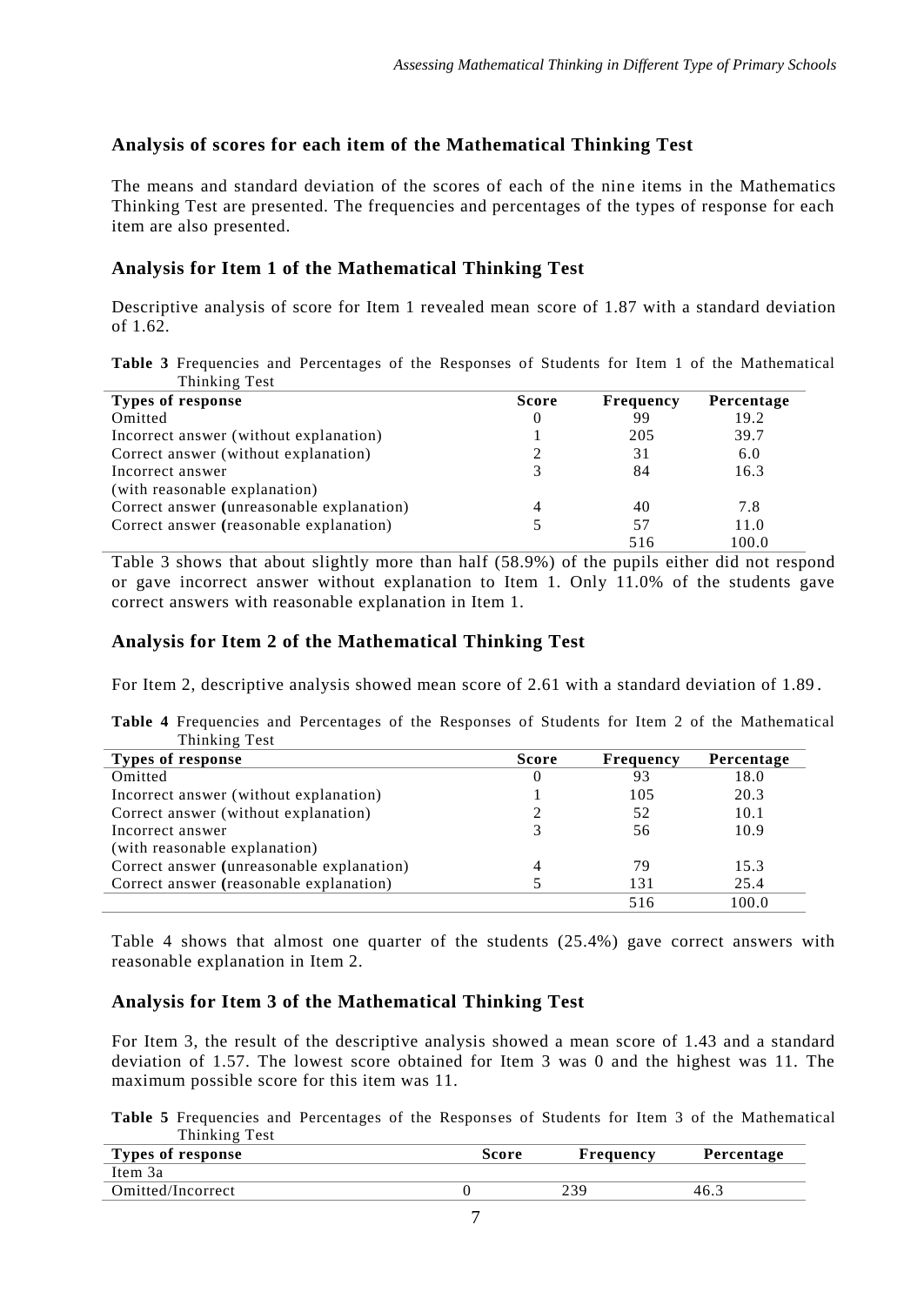# **Analysis of scores for each item of the Mathematical Thinking Test**

The means and standard deviation of the scores of each of the nine items in the Mathematics Thinking Test are presented. The frequencies and percentages of the types of response for each item are also presented.

# **Analysis for Item 1 of the Mathematical Thinking Test**

Descriptive analysis of score for Item 1 revealed mean score of 1.87 with a standard deviation of 1.62.

**Table 3** Frequencies and Percentages of the Responses of Students for Item 1 of the Mathematical Thinking Test

| Types of response                         | <b>Score</b> | <b>Frequency</b> | Percentage |
|-------------------------------------------|--------------|------------------|------------|
| Omitted                                   | 0            | 99               | 19.2       |
| Incorrect answer (without explanation)    |              | 205              | 39.7       |
| Correct answer (without explanation)      |              | 31               | 6.0        |
| Incorrect answer                          |              | 84               | 16.3       |
| (with reasonable explanation)             |              |                  |            |
| Correct answer (unreasonable explanation) | 4            | 40               | 7.8        |
| Correct answer (reasonable explanation)   |              | 57               | 11.0       |
|                                           |              | 516              | 100.0      |

Table 3 shows that about slightly more than half (58.9%) of the pupils either did not respond or gave incorrect answer without explanation to Item 1. Only 11.0% of the students gave correct answers with reasonable explanation in Item 1.

# **Analysis for Item 2 of the Mathematical Thinking Test**

For Item 2, descriptive analysis showed mean score of 2.61 with a standard deviation of 1.89 .

**Table 4** Frequencies and Percentages of the Responses of Students for Item 2 of the Mathematical Thinking Test

| Types of response                         | <b>Score</b> | <b>Frequency</b> | Percentage |
|-------------------------------------------|--------------|------------------|------------|
| Omitted                                   | $\theta$     | 93               | 18.0       |
| Incorrect answer (without explanation)    |              | 105              | 20.3       |
| Correct answer (without explanation)      |              | 52               | 10.1       |
| Incorrect answer                          |              | 56               | 10.9       |
| (with reasonable explanation)             |              |                  |            |
| Correct answer (unreasonable explanation) | 4            | 79               | 15.3       |
| Correct answer (reasonable explanation)   |              | 131              | 25.4       |
|                                           |              | 516              | 100.0      |

Table 4 shows that almost one quarter of the students (25.4%) gave correct answers with reasonable explanation in Item 2.

# **Analysis for Item 3 of the Mathematical Thinking Test**

For Item 3, the result of the descriptive analysis showed a mean score of 1.43 and a standard deviation of 1.57. The lowest score obtained for Item 3 was 0 and the highest was 11. The maximum possible score for this item was 11.

**Table 5** Frequencies and Percentages of the Responses of Students for Item 3 of the Mathematical Thinking Test

| <b>Types of response</b> | Score | Frequency | Percentage |
|--------------------------|-------|-----------|------------|
| Item 3a                  |       |           |            |
| Omitted/Incorrect        |       | າຈດ       | $-46.$     |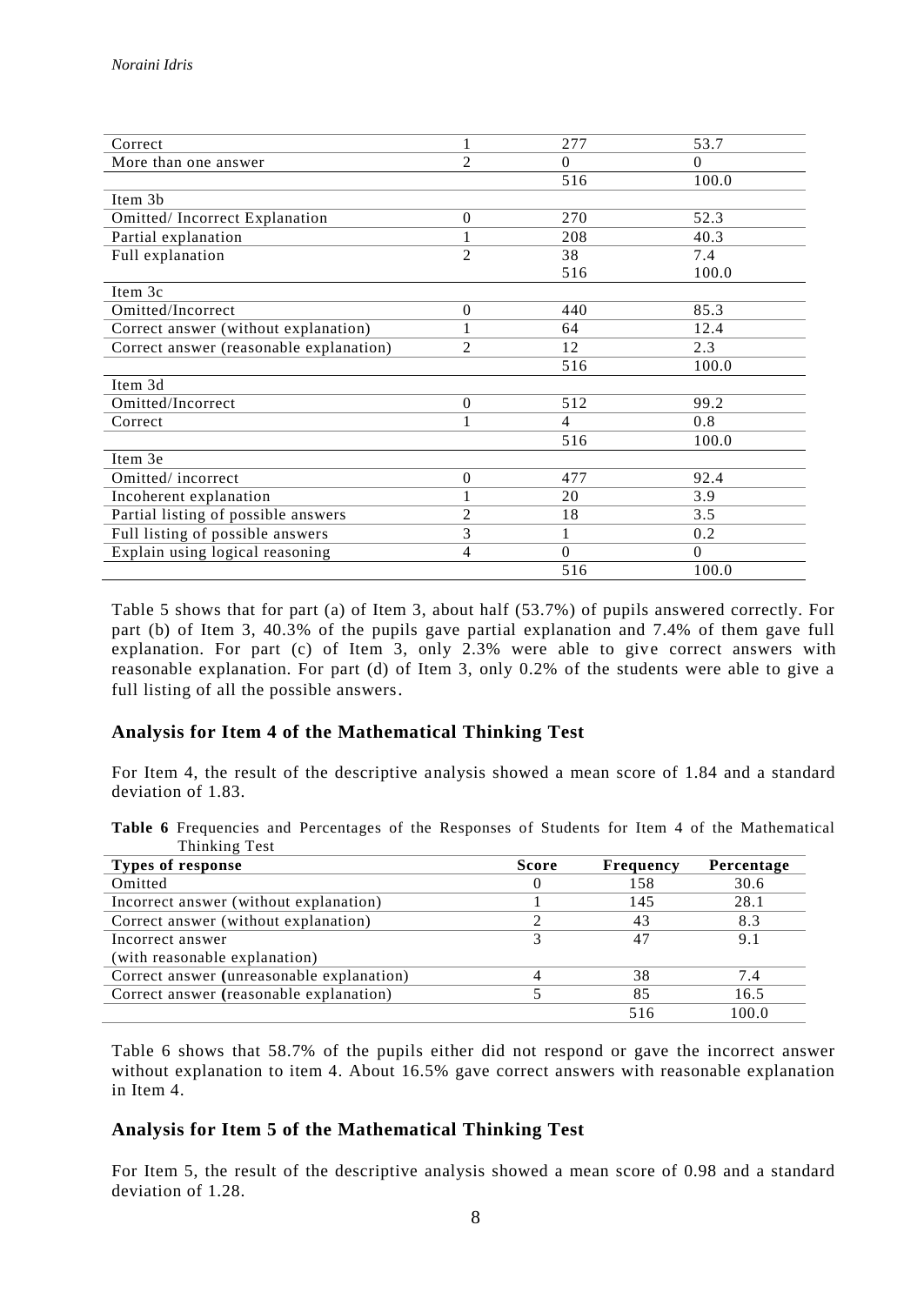|                  | 277      | 53.7     |
|------------------|----------|----------|
| $\overline{2}$   | $\Omega$ | $\Omega$ |
|                  | 516      | 100.0    |
|                  |          |          |
| $\mathbf{0}$     | 270      | 52.3     |
|                  | 208      | 40.3     |
| $\overline{2}$   | 38       | 7.4      |
|                  | 516      | 100.0    |
|                  |          |          |
| $\mathbf{0}$     | 440      | 85.3     |
|                  | 64       | 12.4     |
| 2                | 12       | 2.3      |
|                  | 516      | 100.0    |
|                  |          |          |
| $\Omega$         | 512      | 99.2     |
|                  | 4        | 0.8      |
|                  | 516      | 100.0    |
|                  |          |          |
| $\boldsymbol{0}$ | 477      | 92.4     |
| 1                | 20       | 3.9      |
| $\overline{c}$   | 18       | 3.5      |
| 3                |          | 0.2      |
| $\overline{4}$   | $\Omega$ | $\Omega$ |
|                  | 516      | 100.0    |
|                  |          |          |

Table 5 shows that for part (a) of Item 3, about half (53.7%) of pupils answered correctly. For part (b) of Item 3, 40.3% of the pupils gave partial explanation and 7.4% of them gave full explanation. For part (c) of Item 3, only 2.3% were able to give correct answers with reasonable explanation. For part (d) of Item 3, only 0.2% of the students were able to give a full listing of all the possible answers.

### **Analysis for Item 4 of the Mathematical Thinking Test**

For Item 4, the result of the descriptive analysis showed a mean score of 1.84 and a standard deviation of 1.83.

**Table 6** Frequencies and Percentages of the Responses of Students for Item 4 of the Mathematical Thinking Test

| Types of response                         | <b>Score</b> | <b>Frequency</b> | Percentage |
|-------------------------------------------|--------------|------------------|------------|
| Omitted                                   |              | 158              | 30.6       |
| Incorrect answer (without explanation)    |              | 145              | 28.1       |
| Correct answer (without explanation)      |              | 43               | 8.3        |
| Incorrect answer                          |              | 41               | 9.1        |
| (with reasonable explanation)             |              |                  |            |
| Correct answer (unreasonable explanation) |              | 38               | 7.4        |
| Correct answer (reasonable explanation)   |              | 85               | 16.5       |
|                                           |              | 516              | 100.0      |

Table 6 shows that 58.7% of the pupils either did not respond or gave the incorrect answer without explanation to item 4. About 16.5% gave correct answers with reasonable explanation in Item 4.

#### **Analysis for Item 5 of the Mathematical Thinking Test**

For Item 5, the result of the descriptive analysis showed a mean score of 0.98 and a standard deviation of 1.28.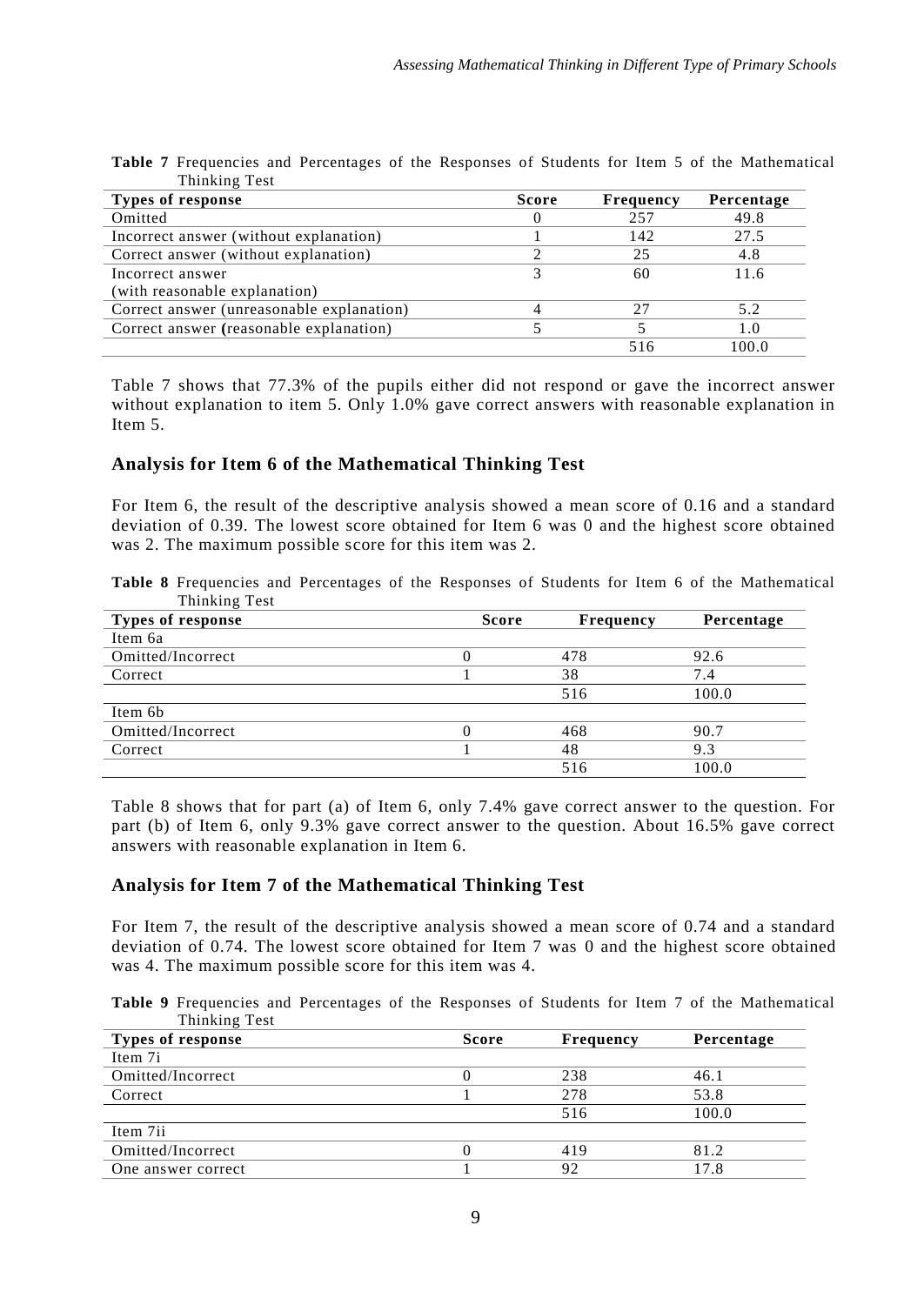| THIIRIII LEST                             |              |                  |            |
|-------------------------------------------|--------------|------------------|------------|
| Types of response                         | <b>Score</b> | <b>Frequency</b> | Percentage |
| Omitted                                   |              | 257              | 49.8       |
| Incorrect answer (without explanation)    |              | 142              | 27.5       |
| Correct answer (without explanation)      |              | 25               | 4.8        |
| Incorrect answer                          |              | 60               | 11.6       |
| (with reasonable explanation)             |              |                  |            |
| Correct answer (unreasonable explanation) |              | 27               | 5.2        |
| Correct answer (reasonable explanation)   |              |                  | 1.0        |
|                                           |              | 516              | 100.0      |

**Table 7** Frequencies and Percentages of the Responses of Students for Item 5 of the Mathematical Thinking Test

Table 7 shows that 77.3% of the pupils either did not respond or gave the incorrect answer without explanation to item 5. Only 1.0% gave correct answers with reasonable explanation in Item 5.

### **Analysis for Item 6 of the Mathematical Thinking Test**

For Item 6, the result of the descriptive analysis showed a mean score of 0.16 and a standard deviation of 0.39. The lowest score obtained for Item 6 was 0 and the highest score obtained was 2. The maximum possible score for this item was 2.

**Table 8** Frequencies and Percentages of the Responses of Students for Item 6 of the Mathematical Thinking Test

| <b>Types of response</b> | <b>Score</b> | Frequency | Percentage |
|--------------------------|--------------|-----------|------------|
| Item 6a                  |              |           |            |
| Omitted/Incorrect        | $\theta$     | 478       | 92.6       |
| Correct                  |              | 38        | 7.4        |
|                          |              | 516       | 100.0      |
| Item 6b                  |              |           |            |
| Omitted/Incorrect        |              | 468       | 90.7       |
| Correct                  |              | 48        | 9.3        |
|                          |              | 516       | 100.0      |

Table 8 shows that for part (a) of Item 6, only 7.4% gave correct answer to the question. For part (b) of Item 6, only 9.3% gave correct answer to the question. About 16.5% gave correct answers with reasonable explanation in Item 6.

### **Analysis for Item 7 of the Mathematical Thinking Test**

For Item 7, the result of the descriptive analysis showed a mean score of 0.74 and a standard deviation of 0.74. The lowest score obtained for Item 7 was 0 and the highest score obtained was 4. The maximum possible score for this item was 4.

**Table 9** Frequencies and Percentages of the Responses of Students for Item 7 of the Mathematical Thinking Test

| Types of response  | <b>Score</b> | <b>Frequency</b> | Percentage |
|--------------------|--------------|------------------|------------|
| Item 7i            |              |                  |            |
| Omitted/Incorrect  |              | 238              | 46.1       |
| Correct            |              | 278              | 53.8       |
|                    |              | 516              | 100.0      |
| Item 7ii           |              |                  |            |
| Omitted/Incorrect  |              | 419              | 81.2       |
| One answer correct |              | 92               | 17.8       |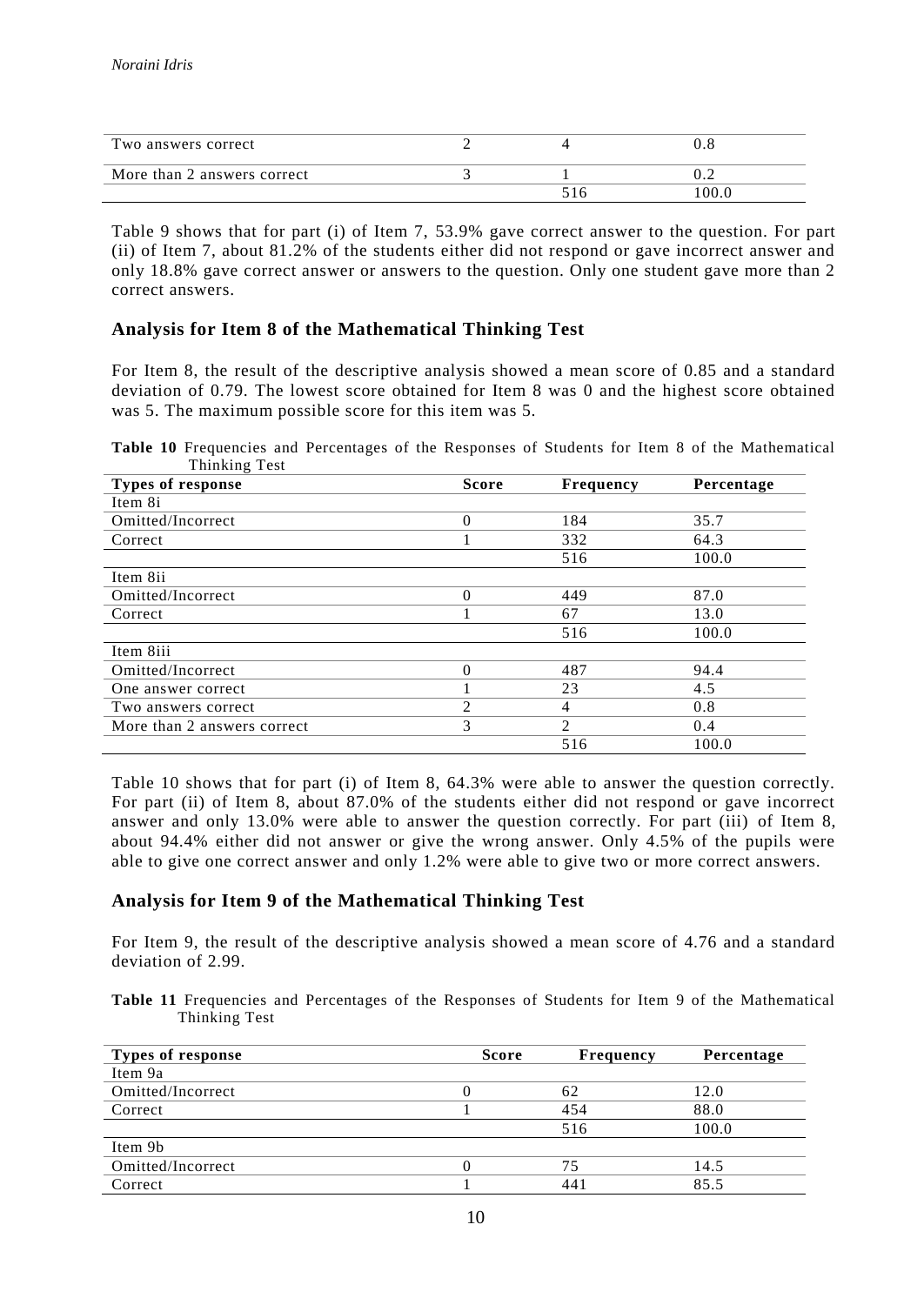| Two answers correct         |  |                 |
|-----------------------------|--|-----------------|
| More than 2 answers correct |  | .               |
|                             |  | 00 <sub>1</sub> |

Table 9 shows that for part (i) of Item 7, 53.9% gave correct answer to the question. For part (ii) of Item 7, about 81.2% of the students either did not respond or gave incorrect answer and only 18.8% gave correct answer or answers to the question. Only one student gave more than 2 correct answers.

# **Analysis for Item 8 of the Mathematical Thinking Test**

For Item 8, the result of the descriptive analysis showed a mean score of 0.85 and a standard deviation of 0.79. The lowest score obtained for Item 8 was 0 and the highest score obtained was 5. The maximum possible score for this item was 5.

**Table 10** Frequencies and Percentages of the Responses of Students for Item 8 of the Mathematical Thinking Test

| <b>Types of response</b>    | <b>Score</b>   | <b>Frequency</b> | Percentage |
|-----------------------------|----------------|------------------|------------|
| Item 8i                     |                |                  |            |
| Omitted/Incorrect           | $\theta$       | 184              | 35.7       |
| Correct                     |                | 332              | 64.3       |
|                             |                | 516              | 100.0      |
| Item 8ii                    |                |                  |            |
| Omitted/Incorrect           | $\theta$       | 449              | 87.0       |
| Correct                     |                | 67               | 13.0       |
|                             |                | 516              | 100.0      |
| Item 8iii                   |                |                  |            |
| Omitted/Incorrect           | $\theta$       | 487              | 94.4       |
| One answer correct          |                | 23               | 4.5        |
| Two answers correct         | $\overline{2}$ | 4                | 0.8        |
| More than 2 answers correct | 3              | $\mathfrak{D}$   | 0.4        |
|                             |                | 516              | 100.0      |

Table 10 shows that for part (i) of Item 8, 64.3% were able to answer the question correctly. For part (ii) of Item 8, about 87.0% of the students either did not respond or gave incorrect answer and only 13.0% were able to answer the question correctly. For part (iii) of Item 8, about 94.4% either did not answer or give the wrong answer. Only 4.5% of the pupils were able to give one correct answer and only 1.2% were able to give two or more correct answers.

### **Analysis for Item 9 of the Mathematical Thinking Test**

For Item 9, the result of the descriptive analysis showed a mean score of 4.76 and a standard deviation of 2.99.

**Table 11** Frequencies and Percentages of the Responses of Students for Item 9 of the Mathematical Thinking Test

| Types of response | <b>Score</b> | <b>Frequency</b> | Percentage |
|-------------------|--------------|------------------|------------|
| Item 9a           |              |                  |            |
| Omitted/Incorrect |              | 62               | 12.0       |
| Correct           |              | 454              | 88.0       |
|                   |              | 516              | 100.0      |
| Item 9b           |              |                  |            |
| Omitted/Incorrect |              | 75               | 14.5       |
| Correct           |              | 441              | 85.5       |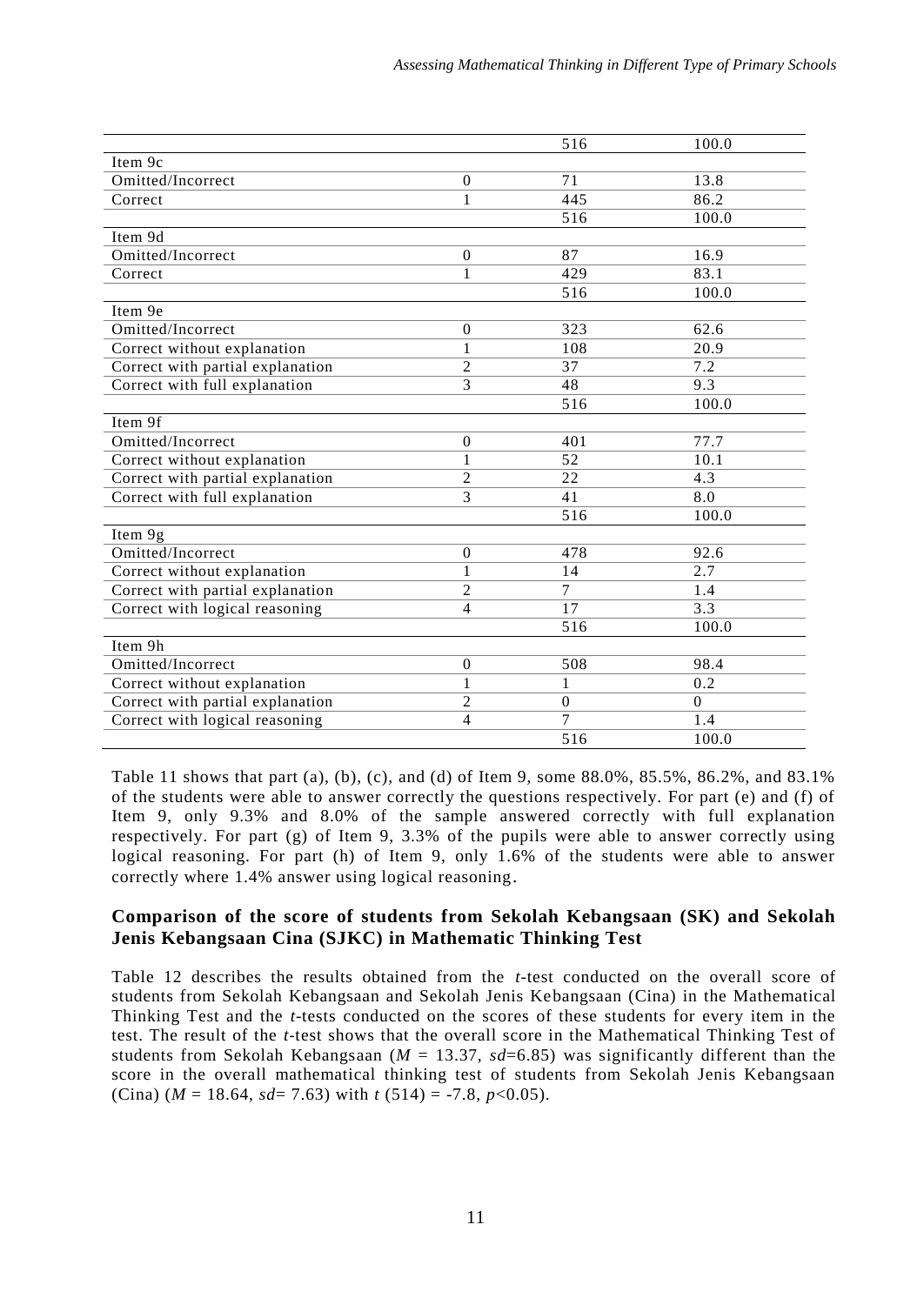|                                  |                  | 516            | 100.0    |
|----------------------------------|------------------|----------------|----------|
| Item 9c                          |                  |                |          |
| Omitted/Incorrect                | $\boldsymbol{0}$ | 71             | 13.8     |
| Correct                          | 1                | 445            | 86.2     |
|                                  |                  | 516            | 100.0    |
| Item 9d                          |                  |                |          |
| Omitted/Incorrect                | $\boldsymbol{0}$ | 87             | 16.9     |
| Correct                          | 1                | 429            | 83.1     |
|                                  |                  | 516            | 100.0    |
| Item 9e                          |                  |                |          |
| Omitted/Incorrect                | $\boldsymbol{0}$ | 323            | 62.6     |
| Correct without explanation      | $\mathbf{1}$     | 108            | 20.9     |
| Correct with partial explanation | $\mathfrak{2}$   | 37             | 7.2      |
| Correct with full explanation    | 3                | 48             | 9.3      |
|                                  |                  | 516            | 100.0    |
| Item 9f                          |                  |                |          |
| Omitted/Incorrect                | $\boldsymbol{0}$ | 401            | 77.7     |
| Correct without explanation      | $\mathbf{1}$     | 52             | 10.1     |
| Correct with partial explanation | $\overline{2}$   | 22             | 4.3      |
| Correct with full explanation    | $\overline{3}$   | 41             | 8.0      |
|                                  |                  | 516            | 100.0    |
| Item 9g                          |                  |                |          |
| Omitted/Incorrect                | $\boldsymbol{0}$ | 478            | 92.6     |
| Correct without explanation      | 1                | 14             | 2.7      |
| Correct with partial explanation | $\overline{2}$   | $\overline{7}$ | 1.4      |
| Correct with logical reasoning   | $\overline{4}$   | 17             | 3.3      |
|                                  |                  | 516            | 100.0    |
| Item 9h                          |                  |                |          |
| Omitted/Incorrect                | $\boldsymbol{0}$ | 508            | 98.4     |
| Correct without explanation      | $\mathbf{1}$     | 1              | 0.2      |
| Correct with partial explanation | 2                | $\mathbf{0}$   | $\Omega$ |
| Correct with logical reasoning   | $\overline{4}$   | 7              | 1.4      |
|                                  |                  | 516            | 100.0    |

Table 11 shows that part (a), (b), (c), and (d) of Item 9, some 88.0%, 85.5%, 86.2%, and 83.1% of the students were able to answer correctly the questions respectively. For part (e) and (f) of Item 9, only 9.3% and 8.0% of the sample answered correctly with full explanation respectively. For part (g) of Item 9, 3.3% of the pupils were able to answer correctly using logical reasoning. For part (h) of Item 9, only 1.6% of the students were able to answer correctly where 1.4% answer using logical reasoning.

## **Comparison of the score of students from Sekolah Kebangsaan (SK) and Sekolah Jenis Kebangsaan Cina (SJKC) in Mathematic Thinking Test**

Table 12 describes the results obtained from the *t*-test conducted on the overall score of students from Sekolah Kebangsaan and Sekolah Jenis Kebangsaan (Cina) in the Mathematical Thinking Test and the *t*-tests conducted on the scores of these students for every item in the test. The result of the *t*-test shows that the overall score in the Mathematical Thinking Test of students from Sekolah Kebangsaan (*M* = 13.37, *sd*=6.85) was significantly different than the score in the overall mathematical thinking test of students from Sekolah Jenis Kebangsaan (Cina)  $(M = 18.64, sd = 7.63)$  with  $t(514) = -7.8, p < 0.05$ ).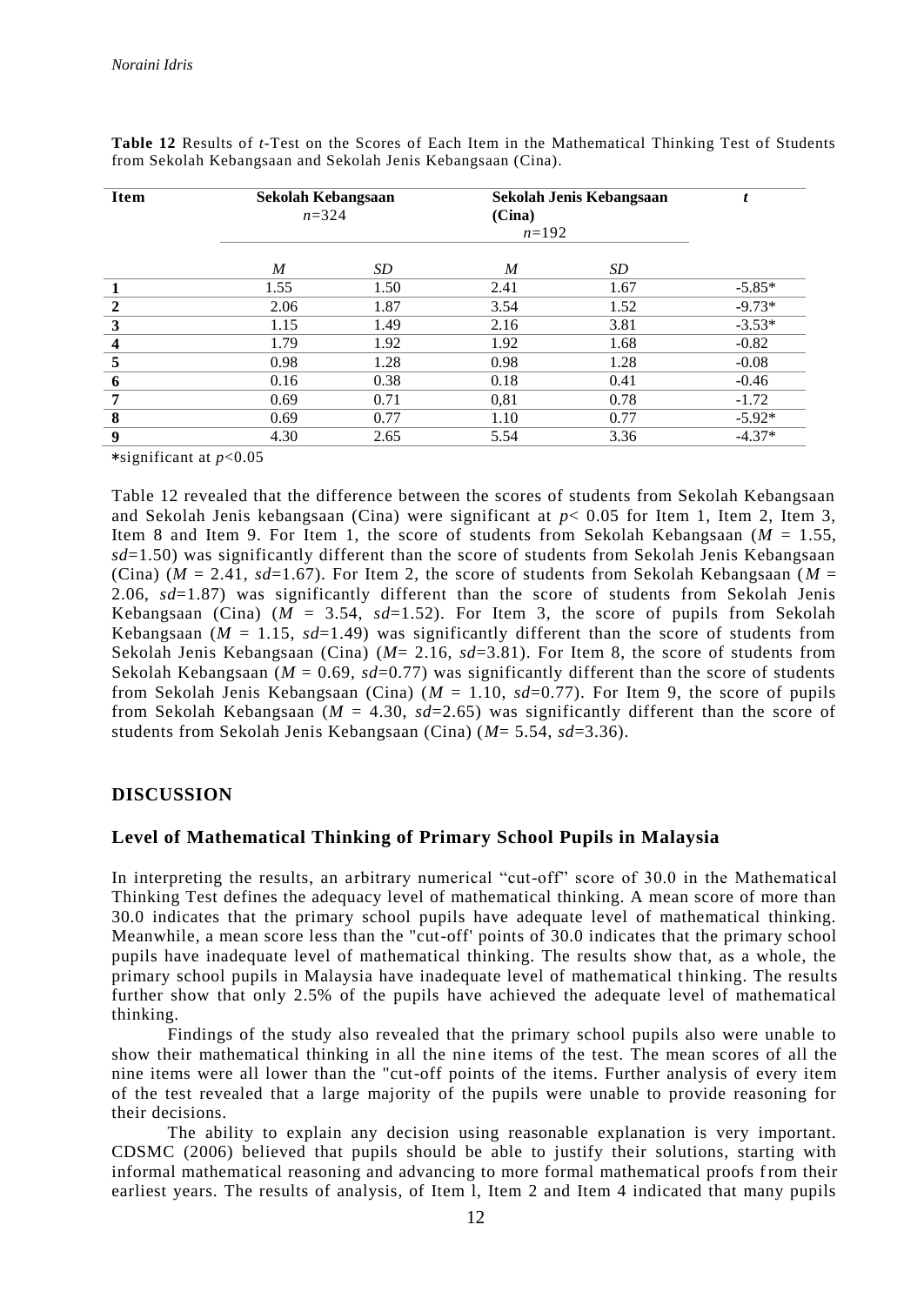|      |      | Sekolah Jenis Kebangsaan<br>(Cina)<br>$n=192$ |      | t        |
|------|------|-----------------------------------------------|------|----------|
| M    | SD   | M                                             | SD   |          |
| 1.55 | 1.50 | 2.41                                          | 1.67 | $-5.85*$ |
| 2.06 | 1.87 | 3.54                                          | 1.52 | $-9.73*$ |
| 1.15 | 1.49 | 2.16                                          | 3.81 | $-3.53*$ |
| 1.79 | 1.92 | 1.92                                          | 1.68 | $-0.82$  |
| 0.98 | 1.28 | 0.98                                          | 1.28 | $-0.08$  |
| 0.16 | 0.38 | 0.18                                          | 0.41 | $-0.46$  |
| 0.69 | 0.71 | 0.81                                          | 0.78 | $-1.72$  |
| 0.69 | 0.77 | 1.10                                          | 0.77 | $-5.92*$ |
| 4.30 | 2.65 | 5.54                                          | 3.36 | $-4.37*$ |
|      |      | Sekolah Kebangsaan<br>$n = 324$               |      |          |

**Table 12** Results of *t*-Test on the Scores of Each Item in the Mathematical Thinking Test of Students from Sekolah Kebangsaan and Sekolah Jenis Kebangsaan (Cina).

\*significant at *p*<0.05

Table 12 revealed that the difference between the scores of students from Sekolah Kebangsaan and Sekolah Jenis kebangsaan (Cina) were significant at *p*< 0.05 for Item 1, Item 2, Item 3, Item 8 and Item 9. For Item 1, the score of students from Sekolah Kebangsaan  $(M = 1.55$ , *sd*=1.50) was significantly different than the score of students from Sekolah Jenis Kebangsaan (Cina)  $(M = 2.41, sd=1.67)$ . For Item 2, the score of students from Sekolah Kebangsaan ( $M =$ 2.06, *sd*=1.87) was significantly different than the score of students from Sekolah Jenis Kebangsaan (Cina)  $(M = 3.54, sd=1.52)$ . For Item 3, the score of pupils from Sekolah Kebangsaan ( $M = 1.15$ ,  $sd=1.49$ ) was significantly different than the score of students from Sekolah Jenis Kebangsaan (Cina) (*M*= 2.16, *sd*=3.81). For Item 8, the score of students from Sekolah Kebangsaan ( $M = 0.69$ ,  $sd = 0.77$ ) was significantly different than the score of students from Sekolah Jenis Kebangsaan (Cina) (*M* = 1.10, *sd*=0.77). For Item 9, the score of pupils from Sekolah Kebangsaan (*M* = 4.30, *sd*=2.65) was significantly different than the score of students from Sekolah Jenis Kebangsaan (Cina) (*M*= 5.54, *sd*=3.36).

### **DISCUSSION**

### **Level of Mathematical Thinking of Primary School Pupils in Malaysia**

In interpreting the results, an arbitrary numerical "cut-off" score of 30.0 in the Mathematical Thinking Test defines the adequacy level of mathematical thinking. A mean score of more than 30.0 indicates that the primary school pupils have adequate level of mathematical thinking. Meanwhile, a mean score less than the "cut-off' points of 30.0 indicates that the primary school pupils have inadequate level of mathematical thinking. The results show that, as a whole, the primary school pupils in Malaysia have inadequate level of mathematical thinking. The results further show that only 2.5% of the pupils have achieved the adequate level of mathematical thinking.

Findings of the study also revealed that the primary school pupils also were unable to show their mathematical thinking in all the nine items of the test. The mean scores of all the nine items were all lower than the "cut-off points of the items. Further analysis of every item of the test revealed that a large majority of the pupils were unable to provide reasoning for their decisions.

The ability to explain any decision using reasonable explanation is very important. CDSMC (2006) believed that pupils should be able to justify their solutions, starting with informal mathematical reasoning and advancing to more formal mathematical proofs from their earliest years. The results of analysis, of Item l, Item 2 and Item 4 indicated that many pupils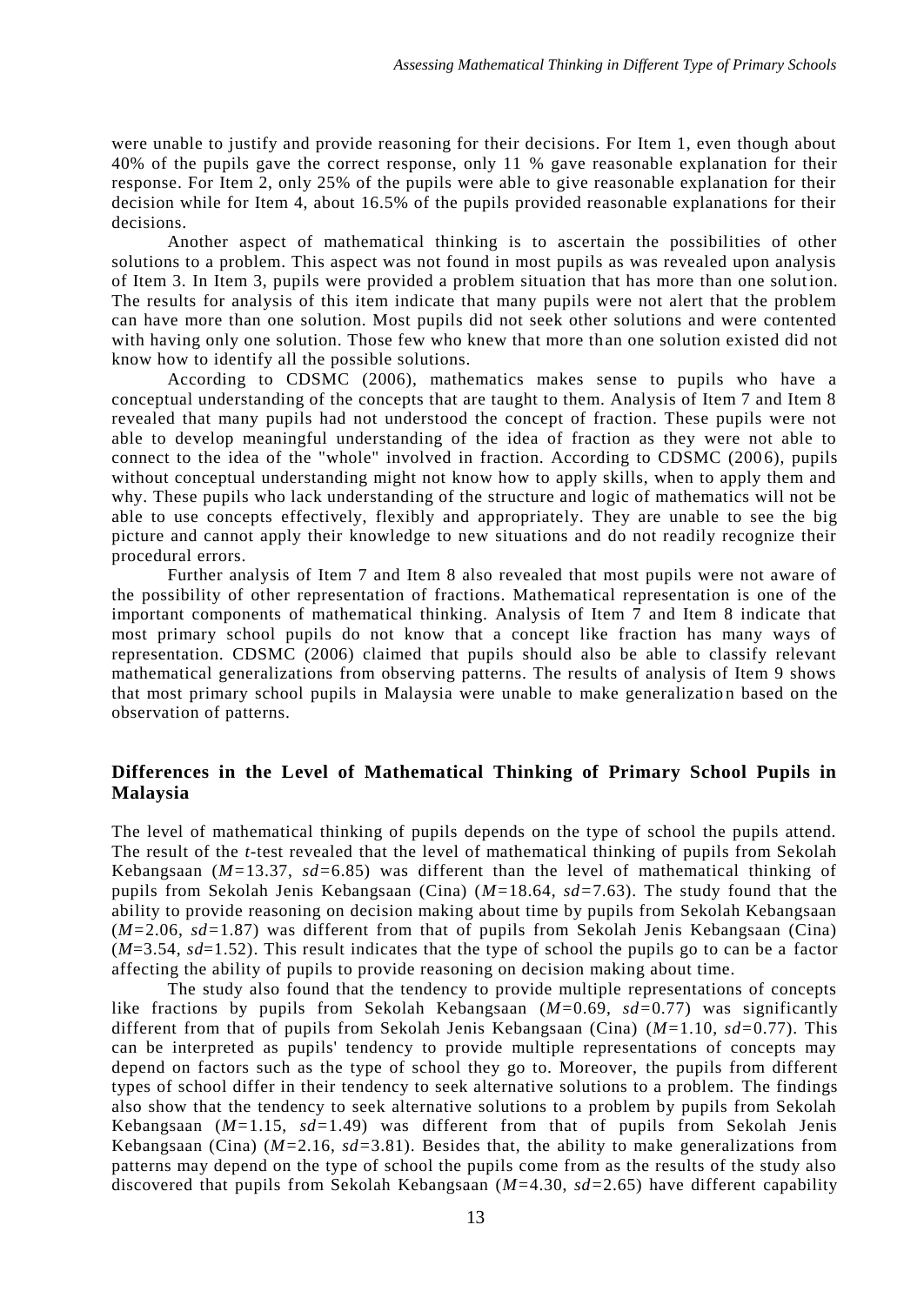were unable to justify and provide reasoning for their decisions. For Item 1, even though about 40% of the pupils gave the correct response, only 11 % gave reasonable explanation for their response. For Item 2, only 25% of the pupils were able to give reasonable explanation for their decision while for Item 4, about 16.5% of the pupils provided reasonable explanations for their decisions.

Another aspect of mathematical thinking is to ascertain the possibilities of other solutions to a problem. This aspect was not found in most pupils as was revealed upon analysis of Item 3. In Item 3, pupils were provided a problem situation that has more than one solut ion. The results for analysis of this item indicate that many pupils were not alert that the problem can have more than one solution. Most pupils did not seek other solutions and were contented with having only one solution. Those few who knew that more than one solution existed did not know how to identify all the possible solutions.

According to CDSMC (2006), mathematics makes sense to pupils who have a conceptual understanding of the concepts that are taught to them. Analysis of Item 7 and Item 8 revealed that many pupils had not understood the concept of fraction. These pupils were not able to develop meaningful understanding of the idea of fraction as they were not able to connect to the idea of the "whole" involved in fraction. According to CDSMC (200 6), pupils without conceptual understanding might not know how to apply skills, when to apply them and why. These pupils who lack understanding of the structure and logic of mathematics will not be able to use concepts effectively, flexibly and appropriately. They are unable to see the big picture and cannot apply their knowledge to new situations and do not readily recognize their procedural errors.

Further analysis of Item 7 and Item 8 also revealed that most pupils were not aware of the possibility of other representation of fractions. Mathematical representation is one of the important components of mathematical thinking. Analysis of Item 7 and Item 8 indicate that most primary school pupils do not know that a concept like fraction has many ways of representation. CDSMC (2006) claimed that pupils should also be able to classify relevant mathematical generalizations from observing patterns. The results of analysis of Item 9 shows that most primary school pupils in Malaysia were unable to make generalization based on the observation of patterns.

# **Differences in the Level of Mathematical Thinking of Primary School Pupils in Malaysia**

The level of mathematical thinking of pupils depends on the type of school the pupils attend. The result of the *t-*test revealed that the level of mathematical thinking of pupils from Sekolah Kebangsaan (*M=*13.37, *sd=*6.85) was different than the level of mathematical thinking of pupils from Sekolah Jenis Kebangsaan (Cina) (*M=*18.64, *sd=*7.63). The study found that the ability to provide reasoning on decision making about time by pupils from Sekolah Kebangsaan (*M=*2.06, *sd=*1.87) was different from that of pupils from Sekolah Jenis Kebangsaan (Cina) (*M*=3.54, *sd*=1.52). This result indicates that the type of school the pupils go to can be a factor affecting the ability of pupils to provide reasoning on decision making about time.

The study also found that the tendency to provide multiple representations of concepts like fractions by pupils from Sekolah Kebangsaan (*M=*0.69, *sd=*0.77) was significantly different from that of pupils from Sekolah Jenis Kebangsaan (Cina) (*M=*1.10, *sd=*0.77). This can be interpreted as pupils' tendency to provide multiple representations of concepts may depend on factors such as the type of school they go to. Moreover, the pupils from different types of school differ in their tendency to seek alternative solutions to a problem. The findings also show that the tendency to seek alternative solutions to a problem by pupils from Sekolah Kebangsaan (*M=*1.15, *sd=*1.49) was different from that of pupils from Sekolah Jenis Kebangsaan (Cina) (*M=*2.16, *sd=*3.81). Besides that, the ability to make generalizations from patterns may depend on the type of school the pupils come from as the results of the study also discovered that pupils from Sekolah Kebangsaan (*M=*4.30, *sd=*2.65) have different capability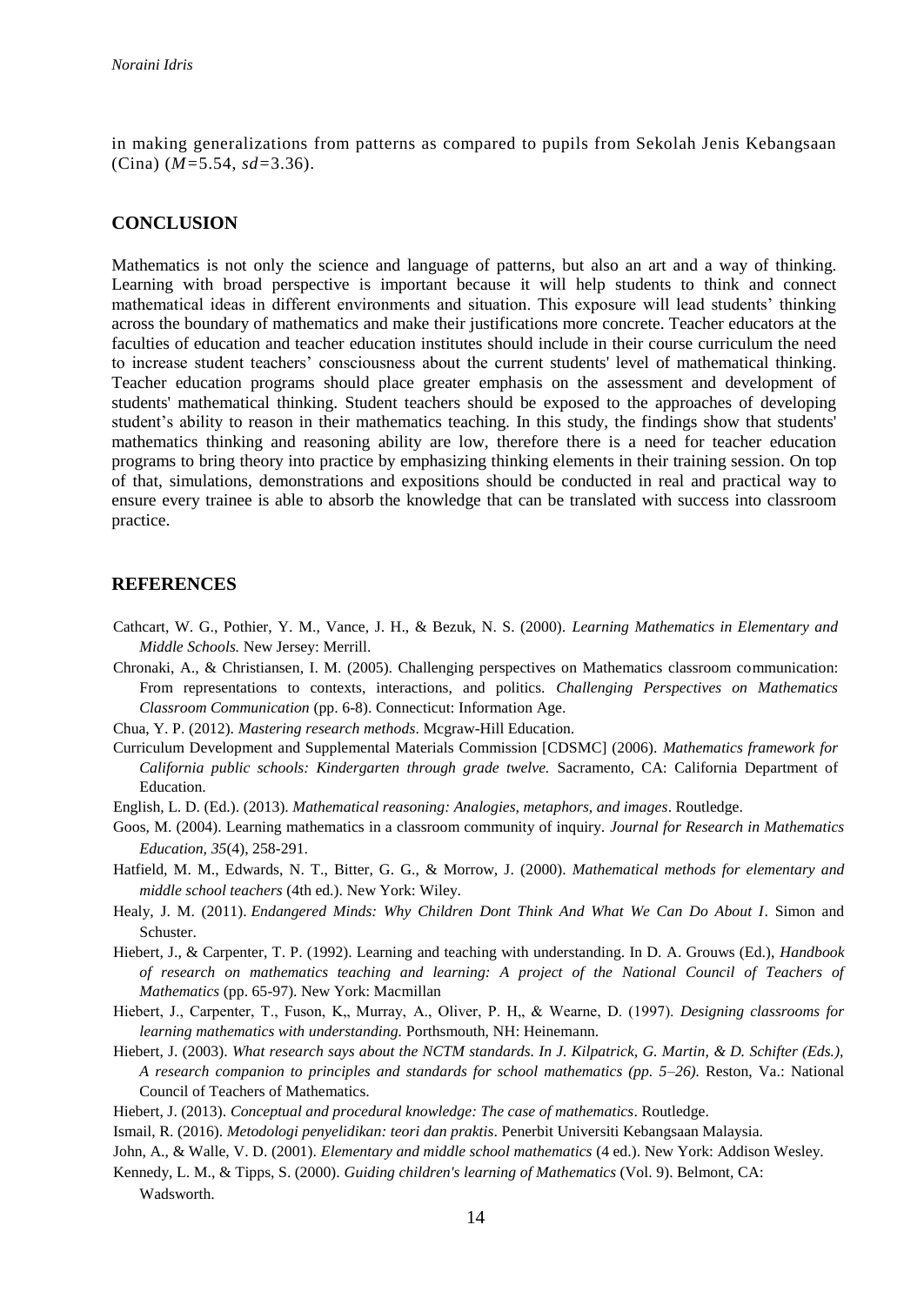in making generalizations from patterns as compared to pupils from Sekolah Jenis Kebangsaan (Cina) (*M=*5.54, *sd=*3.36).

#### **CONCLUSION**

Mathematics is not only the science and language of patterns, but also an art and a way of thinking. Learning with broad perspective is important because it will help students to think and connect mathematical ideas in different environments and situation. This exposure will lead students' thinking across the boundary of mathematics and make their justifications more concrete. Teacher educators at the faculties of education and teacher education institutes should include in their course curriculum the need to increase student teachers' consciousness about the current students' level of mathematical thinking. Teacher education programs should place greater emphasis on the assessment and development of students' mathematical thinking. Student teachers should be exposed to the approaches of developing student's ability to reason in their mathematics teaching. In this study, the findings show that students' mathematics thinking and reasoning ability are low, therefore there is a need for teacher education programs to bring theory into practice by emphasizing thinking elements in their training session. On top of that, simulations, demonstrations and expositions should be conducted in real and practical way to ensure every trainee is able to absorb the knowledge that can be translated with success into classroom practice.

#### **REFERENCES**

Cathcart, W. G., Pothier, Y. M., Vance, J. H., & Bezuk, N. S. (2000). *Learning Mathematics in Elementary and Middle Schools.* New Jersey: Merrill.

Chronaki, A., & Christiansen, I. M. (2005). Challenging perspectives on Mathematics classroom communication: From representations to contexts, interactions, and politics. *Challenging Perspectives on Mathematics Classroom Communication* (pp. 6-8). Connecticut: Information Age.

- Chua, Y. P. (2012). *Mastering research methods*. Mcgraw-Hill Education.
- Curriculum Development and Supplemental Materials Commission [CDSMC] (2006). *Mathematics framework for California public schools: Kindergarten through grade twelve.* Sacramento, CA: California Department of Education.
- English, L. D. (Ed.). (2013). *Mathematical reasoning: Analogies, metaphors, and images*. Routledge.
- Goos, M. (2004). Learning mathematics in a classroom community of inquiry. *Journal for Research in Mathematics Education, 35*(4), 258-291.
- Hatfield, M. M., Edwards, N. T., Bitter, G. G., & Morrow, J. (2000). *Mathematical methods for elementary and middle school teachers* (4th ed.). New York: Wiley.
- Healy, J. M. (2011). *Endangered Minds: Why Children Dont Think And What We Can Do About I*. Simon and Schuster.
- Hiebert, J., & Carpenter, T. P. (1992). Learning and teaching with understanding. In D. A. Grouws (Ed.), *Handbook of research on mathematics teaching and learning: A project of the National Council of Teachers of Mathematics* (pp. 65-97). New York: Macmillan
- Hiebert, J., Carpenter, T., Fuson, K., Murray, A., Oliver, P. H., & Wearne, D. (1997). *Designing classrooms for learning mathematics with understanding.* Porthsmouth, NH: Heinemann.
- Hiebert, J. (2003). *What research says about the NCTM standards. In J. Kilpatrick, G. Martin, & D. Schifter (Eds.), A research companion to principles and standards for school mathematics (pp. 5–26).* Reston, Va.: National Council of Teachers of Mathematics.
- Hiebert, J. (2013). *Conceptual and procedural knowledge: The case of mathematics*. Routledge.
- Ismail, R. (2016). *Metodologi penyelidikan: teori dan praktis*. Penerbit Universiti Kebangsaan Malaysia.
- John, A., & Walle, V. D. (2001). *Elementary and middle school mathematics* (4 ed.). New York: Addison Wesley.
- Kennedy, L. M., & Tipps, S. (2000). *Guiding children's learning of Mathematics* (Vol. 9). Belmont, CA: Wadsworth.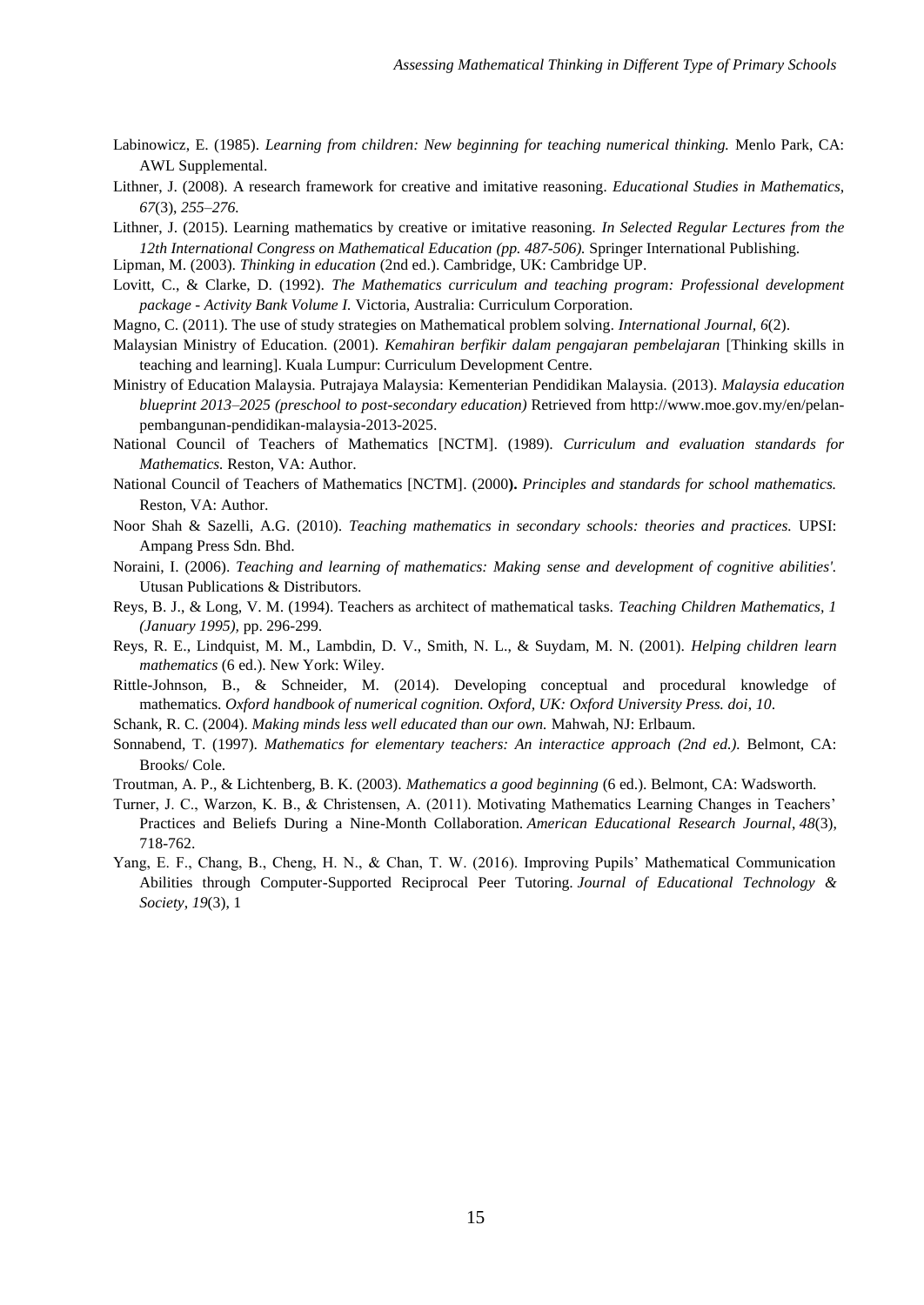- Labinowicz, E. (1985). *Learning from children: New beginning for teaching numerical thinking.* Menlo Park, CA: AWL Supplemental.
- Lithner, J. (2008). A research framework for creative and imitative reasoning*. Educational Studies in Mathematics, 67*(3), *255–276.*
- Lithner, J. (2015). Learning mathematics by creative or imitative reasoning. *In Selected Regular Lectures from the 12th International Congress on Mathematical Education (pp. 487-506).* Springer International Publishing.

Lipman, M. (2003). *Thinking in education* (2nd ed.). Cambridge, UK: Cambridge UP.

- Lovitt, C., & Clarke, D. (1992). *The Mathematics curriculum and teaching program: Professional development package - Activity Bank Volume I.* Victoria, Australia: Curriculum Corporation.
- Magno, C. (2011). The use of study strategies on Mathematical problem solving*. International Journal, 6*(2).
- Malaysian Ministry of Education. (2001). *Kemahiran berfikir dalam pengajaran pembelajaran* [Thinking skills in teaching and learning]. Kuala Lumpur: Curriculum Development Centre.
- Ministry of Education Malaysia. Putrajaya Malaysia: Kementerian Pendidikan Malaysia. (2013). *Malaysia education blueprint 2013–2025 (preschool to post-secondary education)* Retrieved from http://www.moe.gov.my/en/pelanpembangunan-pendidikan-malaysia-2013-2025.
- National Council of Teachers of Mathematics [NCTM]. (1989). *Curriculum and evaluation standards for Mathematics.* Reston, VA: Author.
- National Council of Teachers of Mathematics [NCTM]. (2000**).** *Principles and standards for school mathematics.* Reston, VA: Author.
- Noor Shah & Sazelli, A.G. (2010). *Teaching mathematics in secondary schools: theories and practices.* UPSI: Ampang Press Sdn. Bhd.
- Noraini, I. (2006). *Teaching and learning of mathematics: Making sense and development of cognitive abilities'.* Utusan Publications & Distributors.
- Reys, B. J., & Long, V. M. (1994). Teachers as architect of mathematical tasks. *Teaching Children Mathematics, 1 (January 1995),* pp. 296-299.
- Reys, R. E., Lindquist, M. M., Lambdin, D. V., Smith, N. L., & Suydam, M. N. (2001). *Helping children learn mathematics* (6 ed.). New York: Wiley.
- Rittle-Johnson, B., & Schneider, M. (2014). Developing conceptual and procedural knowledge of mathematics. *Oxford handbook of numerical cognition. Oxford, UK: Oxford University Press. doi*, *10*.
- Schank, R. C. (2004). *Making minds less well educated than our own.* Mahwah, NJ: Erlbaum.
- Sonnabend, T. (1997). *Mathematics for elementary teachers: An interactice approach (2nd ed.).* Belmont, CA: Brooks/ Cole.
- Troutman, A. P., & Lichtenberg, B. K. (2003). *Mathematics a good beginning* (6 ed.). Belmont, CA: Wadsworth.
- Turner, J. C., Warzon, K. B., & Christensen, A. (2011). Motivating Mathematics Learning Changes in Teachers' Practices and Beliefs During a Nine-Month Collaboration. *American Educational Research Journal*, *48*(3), 718-762.
- Yang, E. F., Chang, B., Cheng, H. N., & Chan, T. W. (2016). Improving Pupils' Mathematical Communication Abilities through Computer-Supported Reciprocal Peer Tutoring. *Journal of Educational Technology & Society*, *19*(3), 1